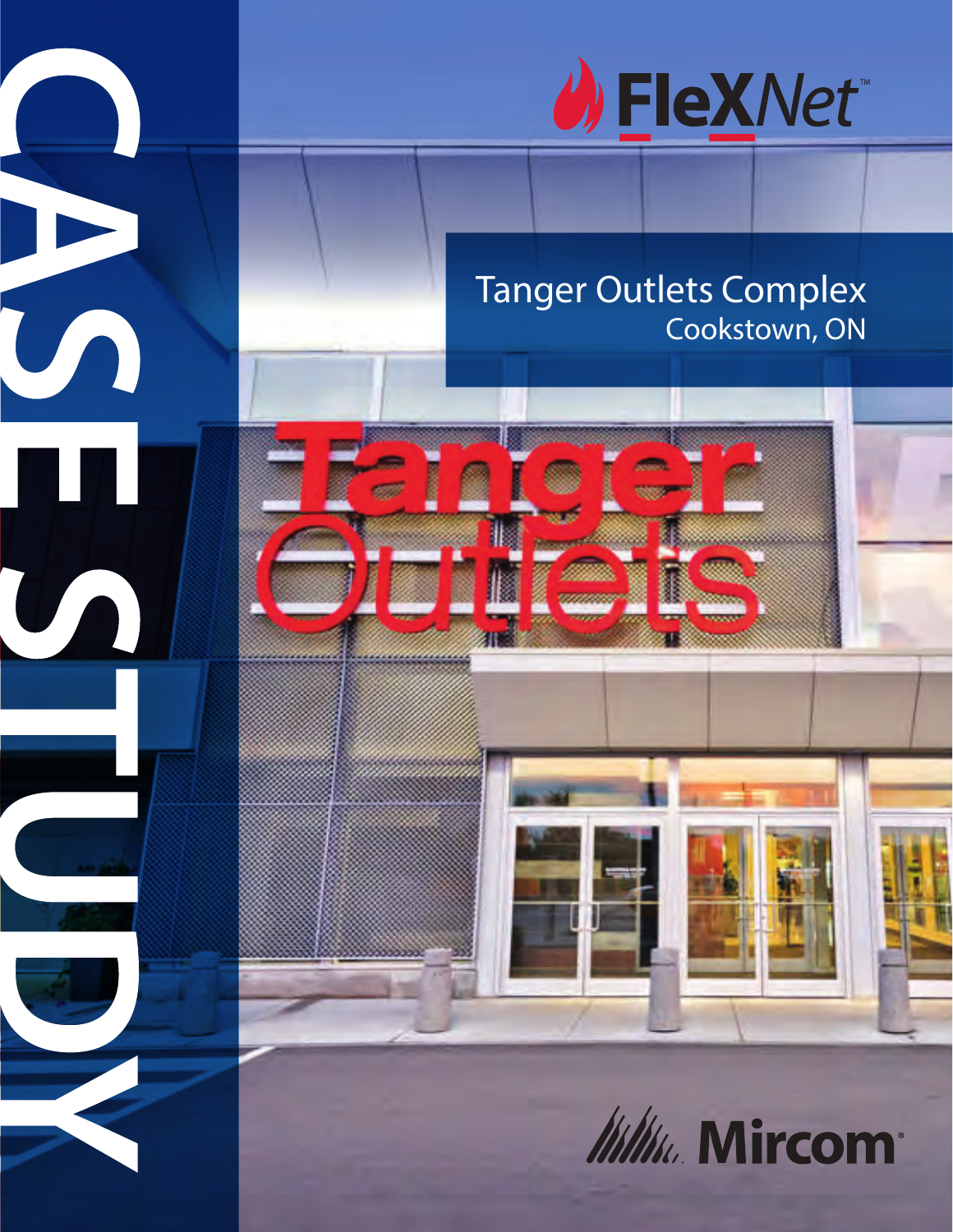

## Tanger Outlets Complex Cookstown, ON



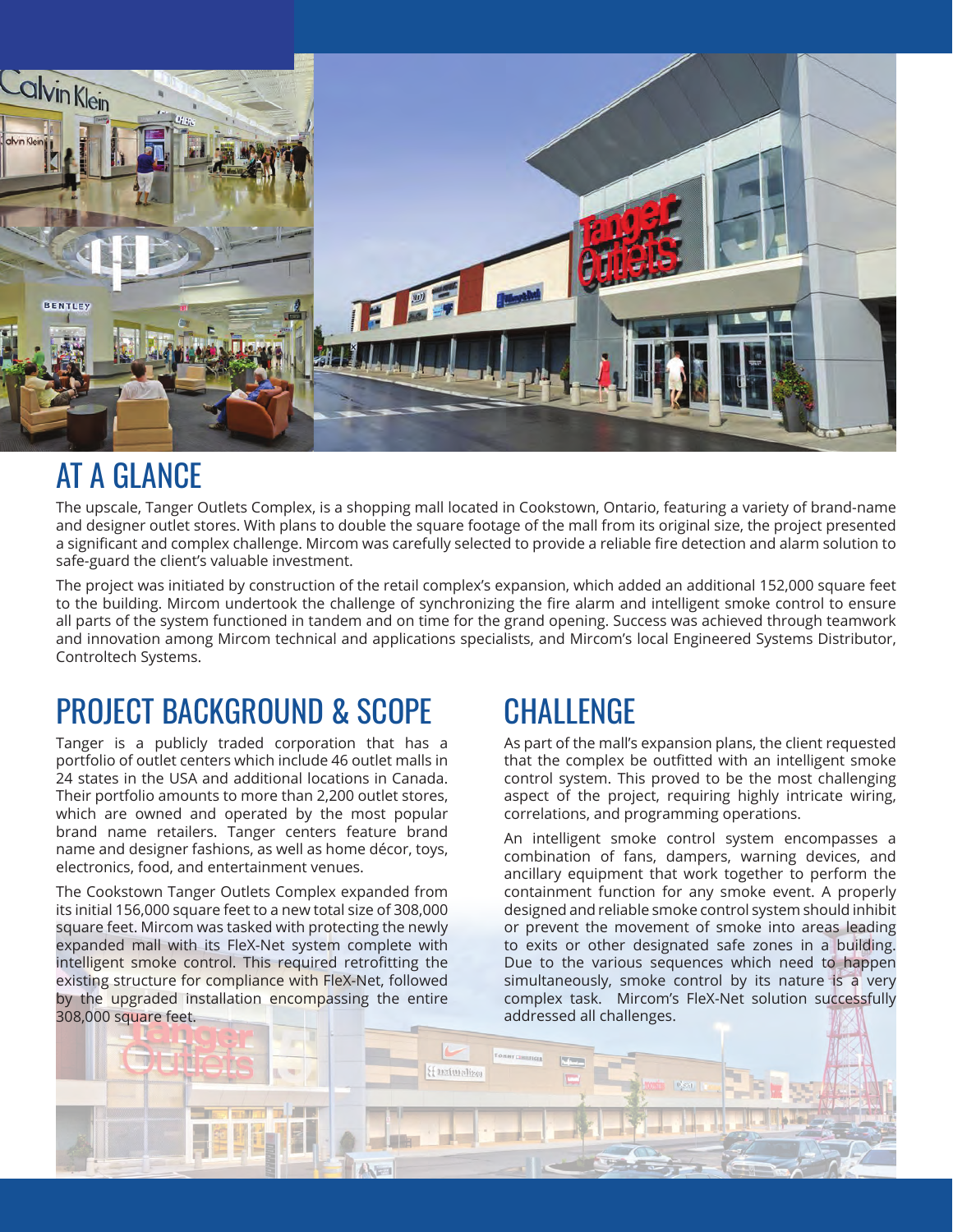

#### AT A GLANCE

The upscale, Tanger Outlets Complex, is a shopping mall located in Cookstown, Ontario, featuring a variety of brand-name and designer outlet stores. With plans to double the square footage of the mall from its original size, the project presented a significant and complex challenge. Mircom was carefully selected to provide a reliable fire detection and alarm solution to safe-guard the client's valuable investment.

The project was initiated by construction of the retail complex's expansion, which added an additional 152,000 square feet to the building. Mircom undertook the challenge of synchronizing the fire alarm and intelligent smoke control to ensure all parts of the system functioned in tandem and on time for the grand opening. Success was achieved through teamwork and innovation among Mircom technical and applications specialists, and Mircom's local Engineered Systems Distributor, Controltech Systems.

# PROJECT BACKGROUND & SCOPE

Tanger is a publicly traded corporation that has a portfolio of outlet centers which include 46 outlet malls in 24 states in the USA and additional locations in Canada. Their portfolio amounts to more than 2,200 outlet stores, which are owned and operated by the most popular brand name retailers. Tanger centers feature brand name and designer fashions, as well as home décor, toys, electronics, food, and entertainment venues.

The Cookstown Tanger Outlets Complex expanded from its initial 156,000 square feet to a new total size of 308,000 square feet. Mircom was tasked with protecting the newly expanded mall with its FleX-Net system complete with intelligent smoke control. This required retrofitting the existing structure for compliance with FleX-Net, followed by the upgraded installation encompassing the entire 308,000 square feet.

## **CHALLENGE**

As part of the mall's expansion plans, the client requested that the complex be outfitted with an intelligent smoke control system. This proved to be the most challenging aspect of the project, requiring highly intricate wiring, correlations, and programming operations.

An intelligent smoke control system encompasses a combination of fans, dampers, warning devices, and ancillary equipment that work together to perform the containment function for any smoke event. A properly designed and reliable smoke control system should inhibit or prevent the movement of smoke into areas leading to exits or other designated safe zones in a building. Due to the various sequences which need to happen simultaneously, smoke control by its nature is a very complex task. Mircom's FleX-Net solution successfully addressed all challenges.

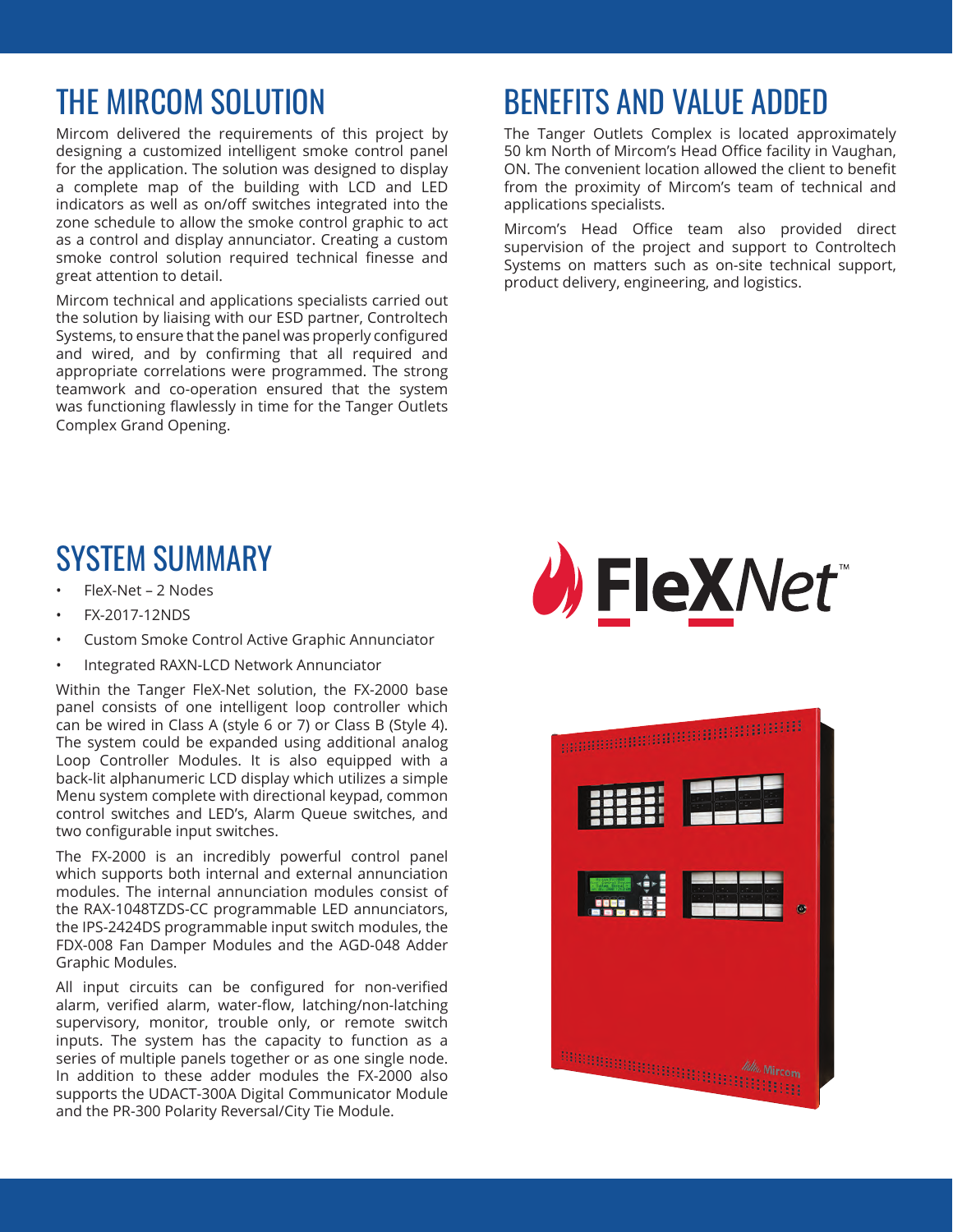## THE MIRCOM SOLUTION

Mircom delivered the requirements of this project by designing a customized intelligent smoke control panel for the application. The solution was designed to display a complete map of the building with LCD and LED indicators as well as on/off switches integrated into the zone schedule to allow the smoke control graphic to act as a control and display annunciator. Creating a custom smoke control solution required technical finesse and great attention to detail.

Mircom technical and applications specialists carried out the solution by liaising with our ESD partner, Controltech Systems, to ensure that the panel was properly configured and wired, and by confirming that all required and appropriate correlations were programmed. The strong teamwork and co-operation ensured that the system was functioning flawlessly in time for the Tanger Outlets Complex Grand Opening.

# BENEFITS AND VALUE ADDED

The Tanger Outlets Complex is located approximately 50 km North of Mircom's Head Office facility in Vaughan, ON. The convenient location allowed the client to benefit from the proximity of Mircom's team of technical and applications specialists.

Mircom's Head Office team also provided direct supervision of the project and support to Controltech Systems on matters such as on-site technical support, product delivery, engineering, and logistics.

### SYSTEM SUMMARY

- FleX-Net 2 Nodes
- FX-2017-12NDS
- Custom Smoke Control Active Graphic Annunciator
- Integrated RAXN-LCD Network Annunciator

Within the Tanger FleX-Net solution, the FX-2000 base panel consists of one intelligent loop controller which can be wired in Class A (style 6 or 7) or Class B (Style 4). The system could be expanded using additional analog Loop Controller Modules. It is also equipped with a back-lit alphanumeric LCD display which utilizes a simple Menu system complete with directional keypad, common control switches and LED's, Alarm Queue switches, and two configurable input switches.

The FX-2000 is an incredibly powerful control panel which supports both internal and external annunciation modules. The internal annunciation modules consist of the RAX-1048TZDS-CC programmable LED annunciators, the IPS-2424DS programmable input switch modules, the FDX-008 Fan Damper Modules and the AGD-048 Adder Graphic Modules.

All input circuits can be configured for non-verified alarm, verified alarm, water-flow, latching/non-latching supervisory, monitor, trouble only, or remote switch inputs. The system has the capacity to function as a series of multiple panels together or as one single node. In addition to these adder modules the FX-2000 also supports the UDACT-300A Digital Communicator Module and the PR-300 Polarity Reversal/City Tie Module.